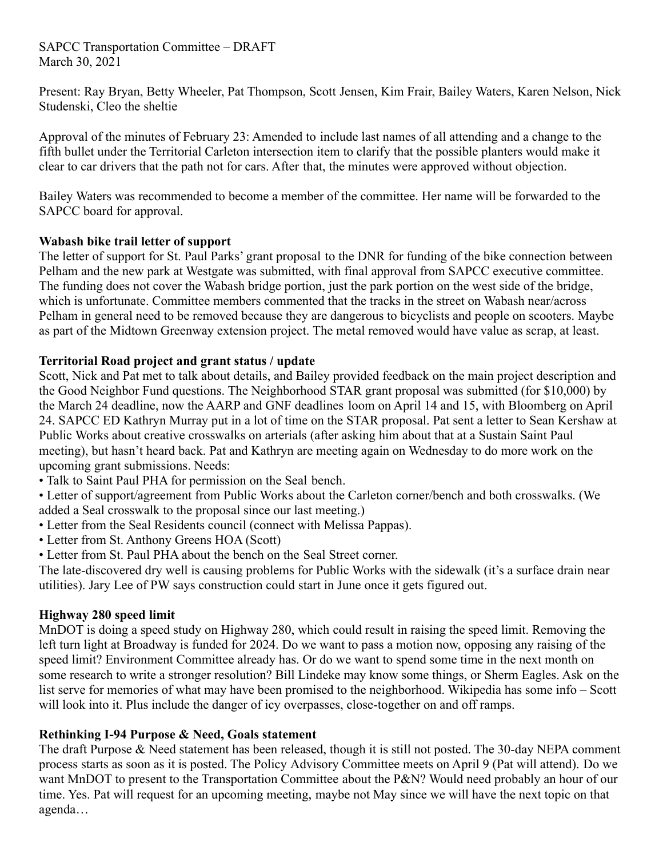#### SAPCC Transportation Committee – DRAFT March 30, 2021

Present: Ray Bryan, Betty Wheeler, Pat Thompson, Scott Jensen, Kim Frair, Bailey Waters, Karen Nelson, Nick Studenski, Cleo the sheltie

Approval of the minutes of February 23: Amended to include last names of all attending and a change to the fifth bullet under the Territorial Carleton intersection item to clarify that the possible planters would make it clear to car drivers that the path not for cars. After that, the minutes were approved without objection.

Bailey Waters was recommended to become a member of the committee. Her name will be forwarded to the SAPCC board for approval.

# **Wabash bike trail letter of support**

The letter of support for St. Paul Parks' grant proposal to the DNR for funding of the bike connection between Pelham and the new park at Westgate was submitted, with final approval from SAPCC executive committee. The funding does not cover the Wabash bridge portion, just the park portion on the west side of the bridge, which is unfortunate. Committee members commented that the tracks in the street on Wabash near/across Pelham in general need to be removed because they are dangerous to bicyclists and people on scooters. Maybe as part of the Midtown Greenway extension project. The metal removed would have value as scrap, at least.

### **Territorial Road project and grant status / update**

Scott, Nick and Pat met to talk about details, and Bailey provided feedback on the main project description and the Good Neighbor Fund questions. The Neighborhood STAR grant proposal was submitted (for \$10,000) by the March 24 deadline, now the AARP and GNF deadlines loom on April 14 and 15, with Bloomberg on April 24. SAPCC ED Kathryn Murray put in a lot of time on the STAR proposal. Pat sent a letter to Sean Kershaw at Public Works about creative crosswalks on arterials (after asking him about that at a Sustain Saint Paul meeting), but hasn't heard back. Pat and Kathryn are meeting again on Wednesday to do more work on the upcoming grant submissions. Needs:

- Talk to Saint Paul PHA for permission on the Seal bench.
- Letter of support/agreement from Public Works about the Carleton corner/bench and both crosswalks. (We added a Seal crosswalk to the proposal since our last meeting.)
- Letter from the Seal Residents council (connect with Melissa Pappas).
- Letter from St. Anthony Greens HOA (Scott)
- Letter from St. Paul PHA about the bench on the Seal Street corner.

The late-discovered dry well is causing problems for Public Works with the sidewalk (it's a surface drain near utilities). Jary Lee of PW says construction could start in June once it gets figured out.

### **Highway 280 speed limit**

MnDOT is doing a speed study on Highway 280, which could result in raising the speed limit. Removing the left turn light at Broadway is funded for 2024. Do we want to pass a motion now, opposing any raising of the speed limit? Environment Committee already has. Or do we want to spend some time in the next month on some research to write a stronger resolution? Bill Lindeke may know some things, or Sherm Eagles. Ask on the list serve for memories of what may have been promised to the neighborhood. Wikipedia has some info – Scott will look into it. Plus include the danger of icy overpasses, close-together on and off ramps.

# **Rethinking I-94 Purpose & Need, Goals statement**

The draft Purpose & Need statement has been released, though it is still not posted. The 30-day NEPA comment process starts as soon as it is posted. The Policy Advisory Committee meets on April 9 (Pat will attend). Do we want MnDOT to present to the Transportation Committee about the P&N? Would need probably an hour of our time. Yes. Pat will request for an upcoming meeting, maybe not May since we will have the next topic on that agenda…